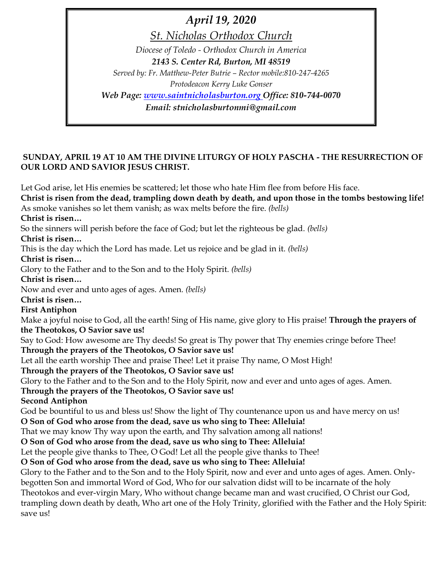*April 19, 2020 St. Nicholas Orthodox Church Diocese of Toledo - Orthodox Church in America 2143 S. Center Rd, Burton, MI 48519 Served by: Fr. Matthew-Peter Butrie – Rector mobile:810-247-4265 Protodeacon Kerry Luke Gonser Web Page: [www.saintnicholasburton.org](http://www.saintnicholasburton.org/) Office: 810-744-0070 Email: stnicholasburtonmi@gmail.com*

### **SUNDAY, APRIL 19 AT 10 AM THE DIVINE LITURGY OF HOLY PASCHA - THE RESURRECTION OF OUR LORD AND SAVIOR JESUS CHRIST.**

Let God arise, let His enemies be scattered; let those who hate Him flee from before His face. **Christ is risen from the dead, trampling down death by death, and upon those in the tombs bestowing life!**  As smoke vanishes so let them vanish; as wax melts before the fire. *(bells)*  **Christ is risen…**  So the sinners will perish before the face of God; but let the righteous be glad. *(bells)*  **Christ is risen…**  This is the day which the Lord has made. Let us rejoice and be glad in it. *(bells)*  **Christ is risen…**  Glory to the Father and to the Son and to the Holy Spirit. *(bells)*  **Christ is risen…**  Now and ever and unto ages of ages. Amen. *(bells)*  **Christ is risen… First Antiphon**  Make a joyful noise to God, all the earth! Sing of His name, give glory to His praise! **Through the prayers of the Theotokos, O Savior save us!**  Say to God: How awesome are Thy deeds! So great is Thy power that Thy enemies cringe before Thee! **Through the prayers of the Theotokos, O Savior save us!**  Let all the earth worship Thee and praise Thee! Let it praise Thy name, O Most High! **Through the prayers of the Theotokos, O Savior save us!**  Glory to the Father and to the Son and to the Holy Spirit, now and ever and unto ages of ages. Amen. **Through the prayers of the Theotokos, O Savior save us! Second Antiphon**  God be bountiful to us and bless us! Show the light of Thy countenance upon us and have mercy on us! **O Son of God who arose from the dead, save us who sing to Thee: Alleluia!**  That we may know Thy way upon the earth, and Thy salvation among all nations! **O Son of God who arose from the dead, save us who sing to Thee: Alleluia!**  Let the people give thanks to Thee, O God! Let all the people give thanks to Thee! **O Son of God who arose from the dead, save us who sing to Thee: Alleluia!**  Glory to the Father and to the Son and to the Holy Spirit, now and ever and unto ages of ages. Amen. Onlybegotten Son and immortal Word of God, Who for our salvation didst will to be incarnate of the holy Theotokos and ever-virgin Mary, Who without change became man and wast crucified, O Christ our God, trampling down death by death, Who art one of the Holy Trinity, glorified with the Father and the Holy Spirit: save us!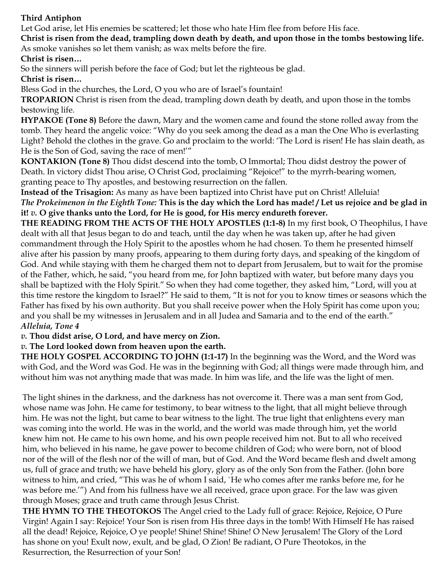# **Third Antiphon**

Let God arise, let His enemies be scattered; let those who hate Him flee from before His face.

**Christ is risen from the dead, trampling down death by death, and upon those in the tombs bestowing life.**  As smoke vanishes so let them vanish; as wax melts before the fire.

**Christ is risen…** 

So the sinners will perish before the face of God; but let the righteous be glad.

**Christ is risen…** 

Bless God in the churches, the Lord, O you who are of Israel's fountain!

**TROPARION** Christ is risen from the dead, trampling down death by death, and upon those in the tombs bestowing life.

**HYPAKOE (Tone 8)** Before the dawn, Mary and the women came and found the stone rolled away from the tomb. They heard the angelic voice: "Why do you seek among the dead as a man the One Who is everlasting Light? Behold the clothes in the grave. Go and proclaim to the world: 'The Lord is risen! He has slain death, as He is the Son of God, saving the race of men!'"

**KONTAKION (Tone 8)** Thou didst descend into the tomb, O Immortal; Thou didst destroy the power of Death. In victory didst Thou arise, O Christ God, proclaiming "Rejoice!" to the myrrh-bearing women, granting peace to Thy apostles, and bestowing resurrection on the fallen.

**Instead of the Trisagion:** As many as have been baptized into Christ have put on Christ! Alleluia! *The Prokeimenon in the Eighth Tone:* **This is the day which the Lord has made! / Let us rejoice and be glad in it!** *v.* **O give thanks unto the Lord, for He is good, for His mercy endureth forever.** 

**THE READING FROM THE ACTS OF THE HOLY APOSTLES (1:1-8)** In my first book, O Theophilus, I have dealt with all that Jesus began to do and teach, until the day when he was taken up, after he had given commandment through the Holy Spirit to the apostles whom he had chosen. To them he presented himself alive after his passion by many proofs, appearing to them during forty days, and speaking of the kingdom of God. And while staying with them he charged them not to depart from Jerusalem, but to wait for the promise of the Father, which, he said, "you heard from me, for John baptized with water, but before many days you shall be baptized with the Holy Spirit." So when they had come together, they asked him, "Lord, will you at this time restore the kingdom to Israel?" He said to them, "It is not for you to know times or seasons which the Father has fixed by his own authority. But you shall receive power when the Holy Spirit has come upon you; and you shall be my witnesses in Jerusalem and in all Judea and Samaria and to the end of the earth." *Alleluia, Tone 4* 

*v.* **Thou didst arise, O Lord, and have mercy on Zion.** 

# *v.* **The Lord looked down from heaven upon the earth.**

**THE HOLY GOSPEL ACCORDING TO JOHN (1:1-17)** In the beginning was the Word, and the Word was with God, and the Word was God. He was in the beginning with God; all things were made through him, and without him was not anything made that was made. In him was life, and the life was the light of men.

The light shines in the darkness, and the darkness has not overcome it. There was a man sent from God, whose name was John. He came for testimony, to bear witness to the light, that all might believe through him. He was not the light, but came to bear witness to the light. The true light that enlightens every man was coming into the world. He was in the world, and the world was made through him, yet the world knew him not. He came to his own home, and his own people received him not. But to all who received him, who believed in his name, he gave power to become children of God; who were born, not of blood nor of the will of the flesh nor of the will of man, but of God. And the Word became flesh and dwelt among us, full of grace and truth; we have beheld his glory, glory as of the only Son from the Father. (John bore witness to him, and cried, "This was he of whom I said, `He who comes after me ranks before me, for he was before me.'") And from his fullness have we all received, grace upon grace. For the law was given through Moses; grace and truth came through Jesus Christ.

**THE HYMN TO THE THEOTOKOS** The Angel cried to the Lady full of grace: Rejoice, Rejoice, O Pure Virgin! Again I say: Rejoice! Your Son is risen from His three days in the tomb! With Himself He has raised all the dead! Rejoice, Rejoice, O ye people! Shine! Shine! Shine! O New Jerusalem! The Glory of the Lord has shone on you! Exult now, exult, and be glad, O Zion! Be radiant, O Pure Theotokos, in the Resurrection, the Resurrection of your Son!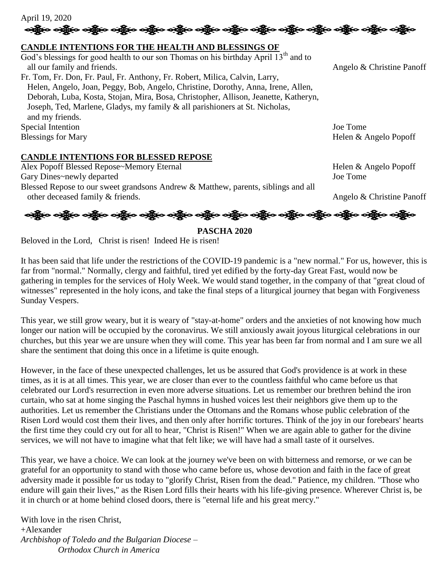April 19, 2020 လန္တြိုးေပါ့္ကိုေပါ့္ကိုေပါ့္ကိုေပါ့္ကိုေပါ့္ကိုေပါ့္ကိုေပါ့္ကိုေပါ့္ကိုေပါ့္ကိုေပါ့္ကိုေပါ့္ကိုေပါ့္ကိုေ

### **CANDLE INTENTIONS FOR THE HEALTH AND BLESSINGS OF**

God's blessings for good health to our son Thomas on his birthday April  $13<sup>th</sup>$  and to all our family and friends. Angelo & Christine Panoff Fr. Tom, Fr. Don, Fr. Paul, Fr. Anthony, Fr. Robert, Milica, Calvin, Larry, Helen, Angelo, Joan, Peggy, Bob, Angelo, Christine, Dorothy, Anna, Irene, Allen, Deborah, Luba, Kosta, Stojan, Mira, Bosa, Christopher, Allison, Jeanette, Katheryn, Joseph, Ted, Marlene, Gladys, my family & all parishioners at St. Nicholas, and my friends. Special Intention Joe Tome Blessings for Mary Helen & Angelo Popoff

#### **CANDLE INTENTIONS FOR BLESSED REPOSE**

Alex Popoff Blessed Repose~Memory Eternal Helen & Angelo Popoff Gary Dines~newly departed Joe Tome Blessed Repose to our sweet grandsons Andrew & Matthew, parents, siblings and all other deceased family & friends. Angelo & Christine Panoff



**PASCHA 2020**

Beloved in the Lord, Christ is risen! Indeed He is risen!

It has been said that life under the restrictions of the COVID-19 pandemic is a "new normal." For us, however, this is far from "normal." Normally, clergy and faithful, tired yet edified by the forty-day Great Fast, would now be gathering in temples for the services of Holy Week. We would stand together, in the company of that "great cloud of witnesses" represented in the holy icons, and take the final steps of a liturgical journey that began with Forgiveness Sunday Vespers.

This year, we still grow weary, but it is weary of "stay-at-home" orders and the anxieties of not knowing how much longer our nation will be occupied by the coronavirus. We still anxiously await joyous liturgical celebrations in our churches, but this year we are unsure when they will come. This year has been far from normal and I am sure we all share the sentiment that doing this once in a lifetime is quite enough.

However, in the face of these unexpected challenges, let us be assured that God's providence is at work in these times, as it is at all times. This year, we are closer than ever to the countless faithful who came before us that celebrated our Lord's resurrection in even more adverse situations. Let us remember our brethren behind the iron curtain, who sat at home singing the Paschal hymns in hushed voices lest their neighbors give them up to the authorities. Let us remember the Christians under the Ottomans and the Romans whose public celebration of the Risen Lord would cost them their lives, and then only after horrific tortures. Think of the joy in our forebears' hearts the first time they could cry out for all to hear, "Christ is Risen!" When we are again able to gather for the divine services, we will not have to imagine what that felt like; we will have had a small taste of it ourselves.

This year, we have a choice. We can look at the journey we've been on with bitterness and remorse, or we can be grateful for an opportunity to stand with those who came before us, whose devotion and faith in the face of great adversity made it possible for us today to "glorify Christ, Risen from the dead." Patience, my children. "Those who endure will gain their lives," as the Risen Lord fills their hearts with his life-giving presence. Wherever Christ is, be it in church or at home behind closed doors, there is "eternal life and his great mercy."

With love in the risen Christ, +Alexander *Archbishop of Toledo and the Bulgarian Diocese – Orthodox Church in America*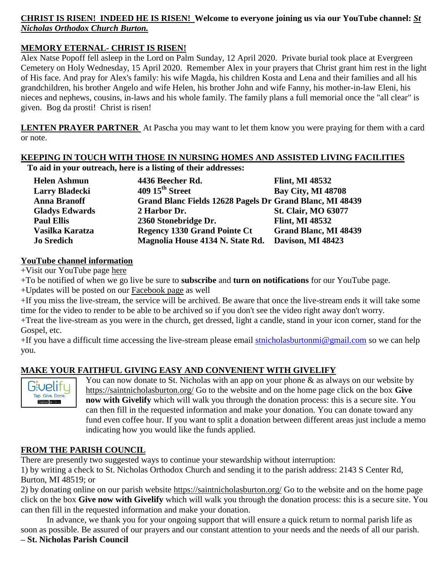# **CHRIST IS RISEN! INDEED HE IS RISEN! Welcome to everyone joining us via our YouTube channel:** *[St](https://www.youtube.com/channel/UC59tV-Re443z-GCoETAUvfA)  [Nicholas Orthodox Church Burton.](https://www.youtube.com/channel/UC59tV-Re443z-GCoETAUvfA)*

# **MEMORY ETERNAL- CHRIST IS RISEN!**

Alex Natse Popoff fell asleep in the Lord on Palm Sunday, 12 April 2020. Private burial took place at Evergreen Cemetery on Holy Wednesday, 15 April 2020. Remember Alex in your prayers that Christ grant him rest in the light of His face. And pray for Alex's family: his wife Magda, his children Kosta and Lena and their families and all his grandchildren, his brother Angelo and wife Helen, his brother John and wife Fanny, his mother-in-law Eleni, his nieces and nephews, cousins, in-laws and his whole family. The family plans a full memorial once the "all clear" is given. Bog da prosti! Christ is risen!

**LENTEN PRAYER PARTNER** At Pascha you may want to let them know you were praying for them with a card or note.

#### **KEEPING IN TOUCH WITH THOSE IN NURSING HOMES AND ASSISTED LIVING FACILITIES To aid in your outreach, here is a listing of their addresses:**

| <b>Helen Ashmun</b>   | 4436 Beecher Rd.                                         | <b>Flint, MI 48532</b>       |
|-----------------------|----------------------------------------------------------|------------------------------|
| <b>Larry Bladecki</b> | 409 15 <sup>th</sup> Street                              | <b>Bay City, MI 48708</b>    |
| <b>Anna Branoff</b>   | Grand Blanc Fields 12628 Pagels Dr Grand Blanc, MI 48439 |                              |
| <b>Gladys Edwards</b> | 2 Harbor Dr.                                             | <b>St. Clair, MO 63077</b>   |
| <b>Paul Ellis</b>     | 2360 Stonebridge Dr.                                     | <b>Flint, MI 48532</b>       |
| Vasilka Karatza       | <b>Regency 1330 Grand Pointe Ct</b>                      | <b>Grand Blanc, MI 48439</b> |
| <b>Jo Sredich</b>     | Magnolia House 4134 N. State Rd.                         | Davison, MI 48423            |

### **YouTube channel information**

+Visit our YouTube page [here](https://www.youtube.com/channel/UC59tV-Re443z-GCoETAUvfA)

+To be notified of when we go live be sure to **subscribe** and **turn on notifications** for our YouTube page.

+Updates will be posted on our [Facebook page](https://www.facebook.com/stnicholasburton/) as well

+If you miss the live-stream, the service will be archived. Be aware that once the live-stream ends it will take some time for the video to render to be able to be archived so if you don't see the video right away don't worry.

+Treat the live-stream as you were in the church, get dressed, light a candle, stand in your icon corner, stand for the Gospel, etc.

+If you have a difficult time accessing the live-stream please email [stnicholasburtonmi@gmail.com](mailto:stnicholasburtonmi@gmail.com) so we can help you.

### **MAKE YOUR FAITHFUL GIVING EASY AND CONVENIENT WITH GIVELIFY**



You can now donate to St. Nicholas with an app on your phone & as always on our website by <https://saintnicholasburton.org/> Go to the website and on the home page click on the box **Give now with Givelify** which will walk you through the donation process: this is a secure site. You can then fill in the requested information and make your donation. You can donate toward any fund even coffee hour. If you want to split a donation between different areas just include a memo indicating how you would like the funds applied.

### **FROM THE PARISH COUNCIL**

There are presently two suggested ways to continue your stewardship without interruption:

1) by writing a check to St. Nicholas Orthodox Church and sending it to the parish address: 2143 S Center Rd, Burton, MI 48519; or

2) by donating online on our parish website <https://saintnicholasburton.org/> Go to the website and on the home page click on the box **Give now with Givelify** which will walk you through the donation process: this is a secure site. You can then fill in the requested information and make your donation.

In advance, we thank you for your ongoing support that will ensure a quick return to normal parish life as soon as possible. Be assured of our prayers and our constant attention to your needs and the needs of all our parish.

## **– St. Nicholas Parish Council**